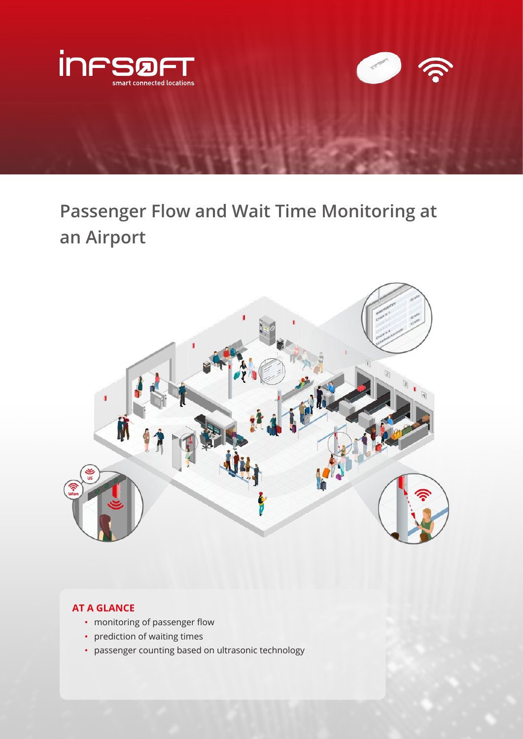

**Passenger Flow and Wait Time Monitoring at an Airport**



# **AT A GLANCE**

- monitoring of passenger flow
- prediction of waiting times
- passenger counting based on ultrasonic technology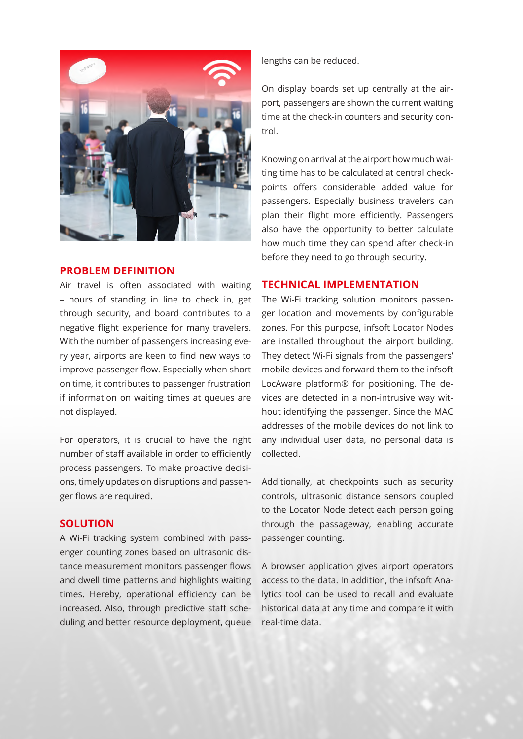

### **PROBLEM DEFINITION**

Air travel is often associated with waiting – hours of standing in line to check in, get through security, and board contributes to a negative flight experience for many travelers. With the number of passengers increasing every year, airports are keen to find new ways to improve passenger flow. Especially when short on time, it contributes to passenger frustration if information on waiting times at queues are not displayed.

For operators, it is crucial to have the right number of staff available in order to efficiently process passengers. To make proactive decisions, timely updates on disruptions and passenger flows are required.

## **SOLUTION**

A Wi-Fi tracking system combined with passenger counting zones based on ultrasonic distance measurement monitors passenger flows and dwell time patterns and highlights waiting times. Hereby, operational efficiency can be increased. Also, through predictive staff scheduling and better resource deployment, queue lengths can be reduced.

On display boards set up centrally at the airport, passengers are shown the current waiting time at the check-in counters and security control.

Knowing on arrival at the airport how much waiting time has to be calculated at central checkpoints offers considerable added value for passengers. Especially business travelers can plan their flight more efficiently. Passengers also have the opportunity to better calculate how much time they can spend after check-in before they need to go through security.

## **TECHNICAL IMPLEMENTATION**

The Wi-Fi tracking solution monitors passenger location and movements by configurable zones. For this purpose, infsoft Locator Nodes are installed throughout the airport building. They detect Wi-Fi signals from the passengers' mobile devices and forward them to the infsoft LocAware platform® for positioning. The devices are detected in a non-intrusive way without identifying the passenger. Since the MAC addresses of the mobile devices do not link to any individual user data, no personal data is collected.

Additionally, at checkpoints such as security controls, ultrasonic distance sensors coupled to the Locator Node detect each person going through the passageway, enabling accurate passenger counting.

A browser application gives airport operators access to the data. In addition, the infsoft Analytics tool can be used to recall and evaluate historical data at any time and compare it with real-time data.